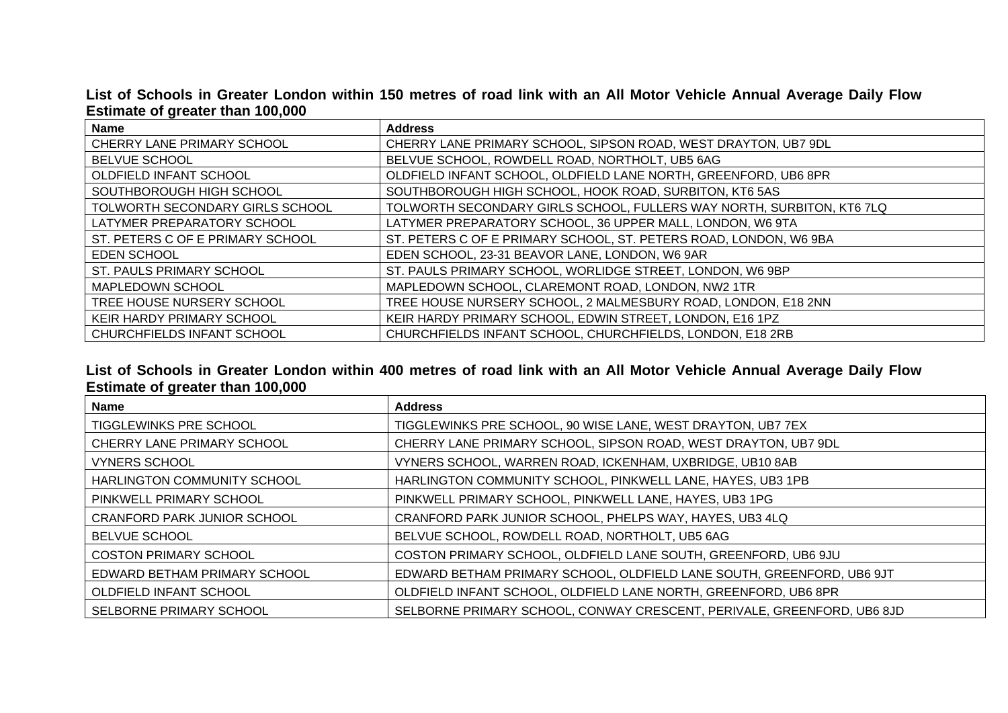## **List of Schools in Greater London within 150 metres of road link with an All Motor Vehicle Annual Average Daily Flow Estimate of greater than 100,000**

| <b>Name</b>                      | <b>Address</b>                                                        |
|----------------------------------|-----------------------------------------------------------------------|
| CHERRY LANE PRIMARY SCHOOL       | CHERRY LANE PRIMARY SCHOOL, SIPSON ROAD, WEST DRAYTON, UB7 9DL        |
| <b>BELVUE SCHOOL</b>             | BELVUE SCHOOL, ROWDELL ROAD, NORTHOLT, UB5 6AG                        |
| OLDFIELD INFANT SCHOOL           | OLDFIELD INFANT SCHOOL, OLDFIELD LANE NORTH, GREENFORD, UB6 8PR       |
| SOUTHBOROUGH HIGH SCHOOL         | SOUTHBOROUGH HIGH SCHOOL, HOOK ROAD, SURBITON, KT6 5AS                |
| TOLWORTH SECONDARY GIRLS SCHOOL  | TOLWORTH SECONDARY GIRLS SCHOOL, FULLERS WAY NORTH, SURBITON, KT6 7LQ |
| LATYMER PREPARATORY SCHOOL       | LATYMER PREPARATORY SCHOOL, 36 UPPER MALL, LONDON, W6 9TA             |
| ST. PETERS C OF E PRIMARY SCHOOL | ST. PETERS C OF E PRIMARY SCHOOL, ST. PETERS ROAD, LONDON, W6 9BA     |
| <b>EDEN SCHOOL</b>               | EDEN SCHOOL, 23-31 BEAVOR LANE, LONDON, W6 9AR                        |
| ST. PAULS PRIMARY SCHOOL         | ST. PAULS PRIMARY SCHOOL, WORLIDGE STREET, LONDON, W6 9BP             |
| MAPLEDOWN SCHOOL                 | MAPLEDOWN SCHOOL, CLAREMONT ROAD, LONDON, NW2 1TR                     |
| TREE HOUSE NURSERY SCHOOL        | TREE HOUSE NURSERY SCHOOL, 2 MALMESBURY ROAD, LONDON, E18 2NN         |
| KEIR HARDY PRIMARY SCHOOL        | KEIR HARDY PRIMARY SCHOOL, EDWIN STREET, LONDON, E16 1PZ              |
| CHURCHFIELDS INFANT SCHOOL       | CHURCHFIELDS INFANT SCHOOL, CHURCHFIELDS, LONDON, E18 2RB             |

## **List of Schools in Greater London within 400 metres of road link with an All Motor Vehicle Annual Average Daily Flow Estimate of greater than 100,000**

| Name                               | <b>Address</b>                                                         |
|------------------------------------|------------------------------------------------------------------------|
| TIGGLEWINKS PRE SCHOOL             | TIGGLEWINKS PRE SCHOOL, 90 WISE LANE, WEST DRAYTON, UB7 7EX            |
| CHERRY LANE PRIMARY SCHOOL         | CHERRY LANE PRIMARY SCHOOL, SIPSON ROAD, WEST DRAYTON, UB7 9DL         |
| <b>VYNERS SCHOOL</b>               | VYNERS SCHOOL, WARREN ROAD, ICKENHAM, UXBRIDGE, UB10 8AB               |
| HARLINGTON COMMUNITY SCHOOL        | HARLINGTON COMMUNITY SCHOOL, PINKWELL LANE, HAYES, UB3 1PB             |
| PINKWELL PRIMARY SCHOOL            | PINKWELL PRIMARY SCHOOL, PINKWELL LANE, HAYES, UB3 1PG                 |
| <b>CRANFORD PARK JUNIOR SCHOOL</b> | CRANFORD PARK JUNIOR SCHOOL, PHELPS WAY, HAYES, UB3 4LQ                |
| BELVUE SCHOOL                      | BELVUE SCHOOL, ROWDELL ROAD, NORTHOLT, UB5 6AG                         |
| <b>COSTON PRIMARY SCHOOL</b>       | COSTON PRIMARY SCHOOL, OLDFIELD LANE SOUTH, GREENFORD, UB6 9JU         |
| EDWARD BETHAM PRIMARY SCHOOL       | EDWARD BETHAM PRIMARY SCHOOL, OLDFIELD LANE SOUTH, GREENFORD, UB6 9JT  |
| OLDFIELD INFANT SCHOOL             | OLDFIELD INFANT SCHOOL, OLDFIELD LANE NORTH, GREENFORD, UB6 8PR        |
| SELBORNE PRIMARY SCHOOL            | SELBORNE PRIMARY SCHOOL, CONWAY CRESCENT, PERIVALE, GREENFORD, UB6 8JD |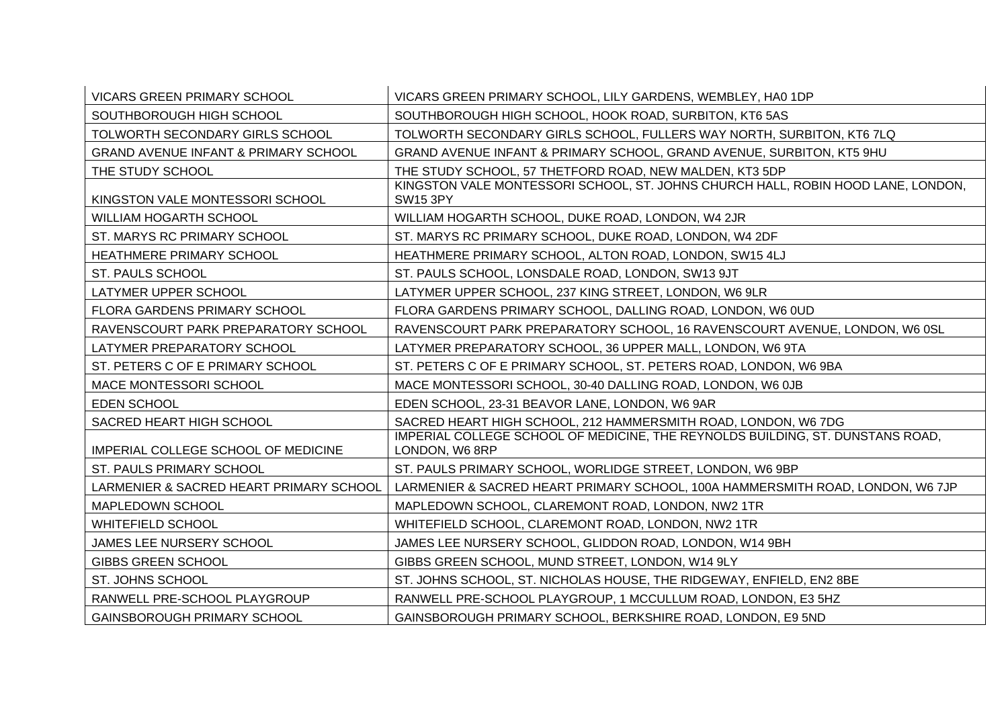| <b>VICARS GREEN PRIMARY SCHOOL</b>              | VICARS GREEN PRIMARY SCHOOL, LILY GARDENS, WEMBLEY, HA0 1DP                                      |
|-------------------------------------------------|--------------------------------------------------------------------------------------------------|
| SOUTHBOROUGH HIGH SCHOOL                        | SOUTHBOROUGH HIGH SCHOOL, HOOK ROAD, SURBITON, KT6 5AS                                           |
| TOLWORTH SECONDARY GIRLS SCHOOL                 | TOLWORTH SECONDARY GIRLS SCHOOL, FULLERS WAY NORTH, SURBITON, KT6 7LQ                            |
| <b>GRAND AVENUE INFANT &amp; PRIMARY SCHOOL</b> | GRAND AVENUE INFANT & PRIMARY SCHOOL, GRAND AVENUE, SURBITON, KT5 9HU                            |
| THE STUDY SCHOOL                                | THE STUDY SCHOOL, 57 THETFORD ROAD, NEW MALDEN, KT3 5DP                                          |
| KINGSTON VALE MONTESSORI SCHOOL                 | KINGSTON VALE MONTESSORI SCHOOL, ST. JOHNS CHURCH HALL, ROBIN HOOD LANE, LONDON,<br>SW15 3PY     |
| <b>WILLIAM HOGARTH SCHOOL</b>                   | WILLIAM HOGARTH SCHOOL, DUKE ROAD, LONDON, W4 2JR                                                |
| ST. MARYS RC PRIMARY SCHOOL                     | ST. MARYS RC PRIMARY SCHOOL, DUKE ROAD, LONDON, W4 2DF                                           |
| HEATHMERE PRIMARY SCHOOL                        | HEATHMERE PRIMARY SCHOOL, ALTON ROAD, LONDON, SW15 4LJ                                           |
| <b>ST. PAULS SCHOOL</b>                         | ST. PAULS SCHOOL, LONSDALE ROAD, LONDON, SW13 9JT                                                |
| LATYMER UPPER SCHOOL                            | LATYMER UPPER SCHOOL, 237 KING STREET, LONDON, W6 9LR                                            |
| FLORA GARDENS PRIMARY SCHOOL                    | FLORA GARDENS PRIMARY SCHOOL, DALLING ROAD, LONDON, W6 0UD                                       |
| RAVENSCOURT PARK PREPARATORY SCHOOL             | RAVENSCOURT PARK PREPARATORY SCHOOL, 16 RAVENSCOURT AVENUE, LONDON, W6 0SL                       |
| LATYMER PREPARATORY SCHOOL                      | LATYMER PREPARATORY SCHOOL, 36 UPPER MALL, LONDON, W6 9TA                                        |
| ST. PETERS C OF E PRIMARY SCHOOL                | ST. PETERS C OF E PRIMARY SCHOOL, ST. PETERS ROAD, LONDON, W6 9BA                                |
| MACE MONTESSORI SCHOOL                          | MACE MONTESSORI SCHOOL, 30-40 DALLING ROAD, LONDON, W6 0JB                                       |
| <b>EDEN SCHOOL</b>                              | EDEN SCHOOL, 23-31 BEAVOR LANE, LONDON, W6 9AR                                                   |
| SACRED HEART HIGH SCHOOL                        | SACRED HEART HIGH SCHOOL, 212 HAMMERSMITH ROAD, LONDON, W6 7DG                                   |
| IMPERIAL COLLEGE SCHOOL OF MEDICINE             | IMPERIAL COLLEGE SCHOOL OF MEDICINE, THE REYNOLDS BUILDING, ST. DUNSTANS ROAD,<br>LONDON, W6 8RP |
| ST. PAULS PRIMARY SCHOOL                        | ST. PAULS PRIMARY SCHOOL, WORLIDGE STREET, LONDON, W6 9BP                                        |
| LARMENIER & SACRED HEART PRIMARY SCHOOL         | LARMENIER & SACRED HEART PRIMARY SCHOOL, 100A HAMMERSMITH ROAD, LONDON, W6 7JP                   |
| MAPLEDOWN SCHOOL                                | MAPLEDOWN SCHOOL, CLAREMONT ROAD, LONDON, NW2 1TR                                                |
| <b>WHITEFIELD SCHOOL</b>                        | WHITEFIELD SCHOOL, CLAREMONT ROAD, LONDON, NW2 1TR                                               |
| JAMES LEE NURSERY SCHOOL                        | JAMES LEE NURSERY SCHOOL, GLIDDON ROAD, LONDON, W14 9BH                                          |
| <b>GIBBS GREEN SCHOOL</b>                       | GIBBS GREEN SCHOOL, MUND STREET, LONDON, W14 9LY                                                 |
| ST. JOHNS SCHOOL                                | ST. JOHNS SCHOOL, ST. NICHOLAS HOUSE, THE RIDGEWAY, ENFIELD, EN2 8BE                             |
| RANWELL PRE-SCHOOL PLAYGROUP                    | RANWELL PRE-SCHOOL PLAYGROUP, 1 MCCULLUM ROAD, LONDON, E3 5HZ                                    |
| <b>GAINSBOROUGH PRIMARY SCHOOL</b>              | GAINSBOROUGH PRIMARY SCHOOL, BERKSHIRE ROAD, LONDON, E9 5ND                                      |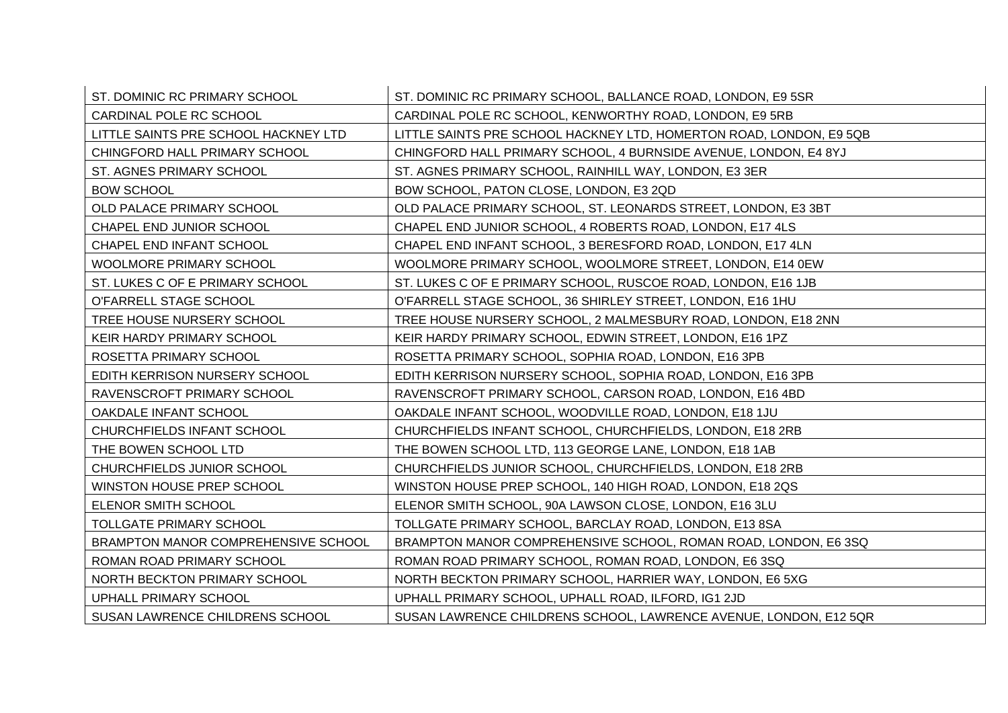| ST. DOMINIC RC PRIMARY SCHOOL        | ST. DOMINIC RC PRIMARY SCHOOL, BALLANCE ROAD, LONDON, E9 5SR        |
|--------------------------------------|---------------------------------------------------------------------|
| CARDINAL POLE RC SCHOOL              | CARDINAL POLE RC SCHOOL, KENWORTHY ROAD, LONDON, E9 5RB             |
| LITTLE SAINTS PRE SCHOOL HACKNEY LTD | LITTLE SAINTS PRE SCHOOL HACKNEY LTD, HOMERTON ROAD, LONDON, E9 5QB |
| CHINGFORD HALL PRIMARY SCHOOL        | CHINGFORD HALL PRIMARY SCHOOL, 4 BURNSIDE AVENUE, LONDON, E4 8YJ    |
| ST. AGNES PRIMARY SCHOOL             | ST. AGNES PRIMARY SCHOOL, RAINHILL WAY, LONDON, E3 3ER              |
| <b>BOW SCHOOL</b>                    | BOW SCHOOL, PATON CLOSE, LONDON, E3 2QD                             |
| OLD PALACE PRIMARY SCHOOL            | OLD PALACE PRIMARY SCHOOL, ST. LEONARDS STREET, LONDON, E3 3BT      |
| CHAPEL END JUNIOR SCHOOL             | CHAPEL END JUNIOR SCHOOL, 4 ROBERTS ROAD, LONDON, E17 4LS           |
| CHAPEL END INFANT SCHOOL             | CHAPEL END INFANT SCHOOL, 3 BERESFORD ROAD, LONDON, E17 4LN         |
| <b>WOOLMORE PRIMARY SCHOOL</b>       | WOOLMORE PRIMARY SCHOOL, WOOLMORE STREET, LONDON, E14 0EW           |
| ST. LUKES C OF E PRIMARY SCHOOL      | ST. LUKES C OF E PRIMARY SCHOOL, RUSCOE ROAD, LONDON, E16 1JB       |
| O'FARRELL STAGE SCHOOL               | O'FARRELL STAGE SCHOOL, 36 SHIRLEY STREET, LONDON, E16 1HU          |
| TREE HOUSE NURSERY SCHOOL            | TREE HOUSE NURSERY SCHOOL, 2 MALMESBURY ROAD, LONDON, E18 2NN       |
| KEIR HARDY PRIMARY SCHOOL            | KEIR HARDY PRIMARY SCHOOL, EDWIN STREET, LONDON, E16 1PZ            |
| ROSETTA PRIMARY SCHOOL               | ROSETTA PRIMARY SCHOOL, SOPHIA ROAD, LONDON, E16 3PB                |
| EDITH KERRISON NURSERY SCHOOL        | EDITH KERRISON NURSERY SCHOOL, SOPHIA ROAD, LONDON, E16 3PB         |
| RAVENSCROFT PRIMARY SCHOOL           | RAVENSCROFT PRIMARY SCHOOL, CARSON ROAD, LONDON, E16 4BD            |
| OAKDALE INFANT SCHOOL                | OAKDALE INFANT SCHOOL, WOODVILLE ROAD, LONDON, E18 1JU              |
| CHURCHFIELDS INFANT SCHOOL           | CHURCHFIELDS INFANT SCHOOL, CHURCHFIELDS, LONDON, E18 2RB           |
| THE BOWEN SCHOOL LTD                 | THE BOWEN SCHOOL LTD, 113 GEORGE LANE, LONDON, E18 1AB              |
| CHURCHFIELDS JUNIOR SCHOOL           | CHURCHFIELDS JUNIOR SCHOOL, CHURCHFIELDS, LONDON, E18 2RB           |
| WINSTON HOUSE PREP SCHOOL            | WINSTON HOUSE PREP SCHOOL, 140 HIGH ROAD, LONDON, E18 2QS           |
| ELENOR SMITH SCHOOL                  | ELENOR SMITH SCHOOL, 90A LAWSON CLOSE, LONDON, E16 3LU              |
| <b>TOLLGATE PRIMARY SCHOOL</b>       | TOLLGATE PRIMARY SCHOOL, BARCLAY ROAD, LONDON, E13 8SA              |
| BRAMPTON MANOR COMPREHENSIVE SCHOOL  | BRAMPTON MANOR COMPREHENSIVE SCHOOL, ROMAN ROAD, LONDON, E6 3SQ     |
| ROMAN ROAD PRIMARY SCHOOL            | ROMAN ROAD PRIMARY SCHOOL, ROMAN ROAD, LONDON, E6 3SQ               |
| NORTH BECKTON PRIMARY SCHOOL         | NORTH BECKTON PRIMARY SCHOOL, HARRIER WAY, LONDON, E6 5XG           |
| UPHALL PRIMARY SCHOOL                | UPHALL PRIMARY SCHOOL, UPHALL ROAD, ILFORD, IG1 2JD                 |
| SUSAN LAWRENCE CHILDRENS SCHOOL      | SUSAN LAWRENCE CHILDRENS SCHOOL, LAWRENCE AVENUE, LONDON, E12 5QR   |